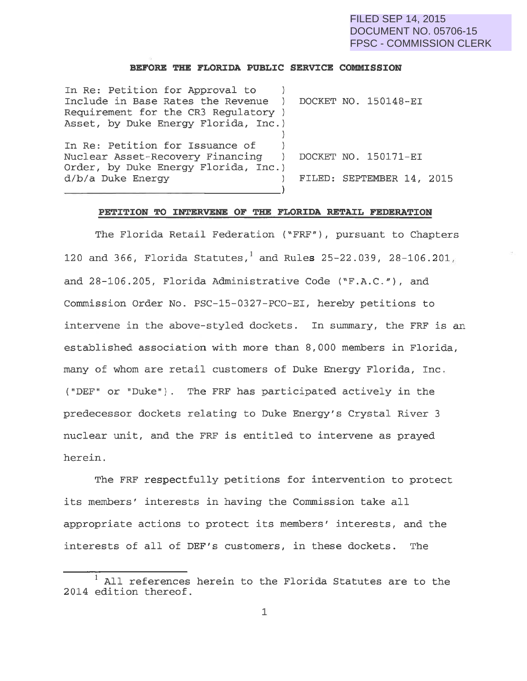# FILED SEP 14, 2015 DOCUMENT NO. 05706-15 FPSC - COMMISSION CLERK

#### **BEFORE THE FLORIDA PUBLIC SERVICE COMMISSION**

| In Re: Petition for Approval to      |                           |  |  |
|--------------------------------------|---------------------------|--|--|
| Include in Base Rates the Revenue    | DOCKET NO. 150148-EI      |  |  |
| Requirement for the CR3 Regulatory ) |                           |  |  |
| Asset, by Duke Energy Florida, Inc.) |                           |  |  |
|                                      |                           |  |  |
| In Re: Petition for Issuance of      |                           |  |  |
| Nuclear Asset-Recovery Financing )   | DOCKET NO. 150171-EI      |  |  |
| Order, by Duke Energy Florida, Inc.) |                           |  |  |
| d/b/a Duke Energy                    | FILED: SEPTEMBER 14, 2015 |  |  |
|                                      |                           |  |  |

## **PETITION TO INTERVENE OF THE FLORIDA RETAIL FEDERATION**

The Florida Retail Federation ("FRF"), pursuant to Chapters 120 and 366, Florida Statutes, and Rules 25-22.039, 28-106.201, and 28-106.205, Florida Administrative Code ("F.A.C."), and Commission Order No. PSC-15-0327-PCO-EI, hereby petitions to intervene in the above-styled dockets. In summary, the FRF is an established association with more than 8,000 members in Florida, many of whom are retail customers of Duke Energy Florida, Inc. ("DEF" or "Duke"). The FRF has participated actively in the predecessor dockets relating to Duke Energy's Crystal River 3 nuclear unit, and the FRF is entitled to intervene as prayed herein.

The FRF respectfully petitions for intervention to protect its members' interests in having the Commission take all appropriate actions to protect its members' interests, and the interests of all of DEF's customers, in these dockets. The

All references herein to the Florida Statutes are to the 2014 edition thereof.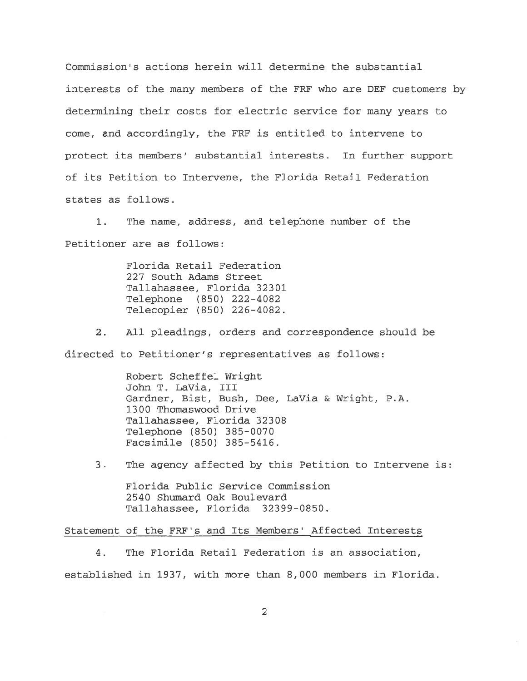Commission's actions herein will determine the substantial interests of the many members of the FRF who are DEF customers by determining their costs for electric service for many years to come, and accordingly, the FRF is entitled to intervene to protect its members' substantial interests. In further support of its Petition to Intervene, the Florida Retail Federation states as follows.

1. The name, address, and telephone number of the Petitioner are as follows:

> Florida Retail Federation 227 South Adams Street Tallahassee, Florida 32301 Telephone (850) 222-4082 Telecopier (850) 226-4082.

2. All pleadings, orders and correspondence should be directed to Petitioner's representatives as follows:

> Robert Scheffel Wright John T. LaVia, III Gardner, Bist, Bush, Dee, LaVia & Wright, P.A. 1300 Thomaswood Drive Tallahassee, Florida 32308 Telephone (850) 385-0070 Facsimile (850) 385-5416.

3. The agency affected by this Petition to Intervene is:

Florida Public Service Commission 2540 Shumard Oak Boulevard Tallahassee, Florida 32399-0850.

## Statement of the FRF's and Its Members' Affected Interests

4. The Florida Retail Federation is an association, established in 1937, with more than 8,000 members in Florida.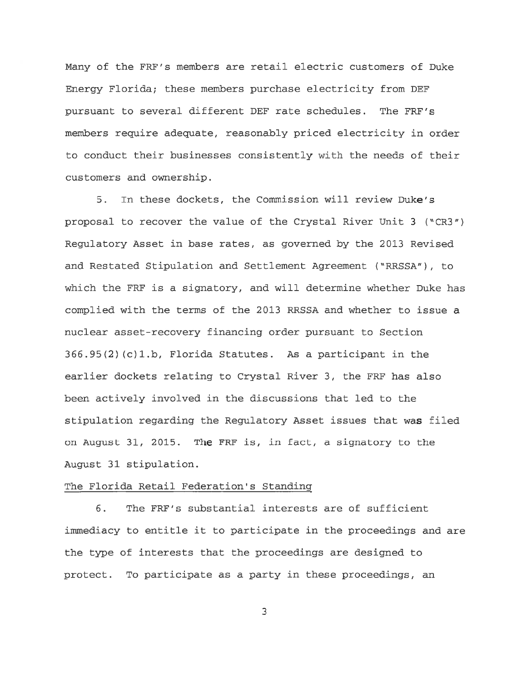Many of the FRF's members are retail electric customers of Duke Energy Florida; these members purchase electricity from DEF pursuant to several different DEF rate schedules. The FRF's members require adequate, reasonably priced electricity in order to conduct their businesses consistently with the needs of their customers and ownership.

5. In these dockets, the Commission will review Duke's proposal to recover the value of the Crystal River Unit 3 ("CR3") Regulatory Asset in base rates, as governed by the 2013 Revised and Restated Stipulation and Settlement Agreement ("RRSSA"), to which the FRF is a signatory, and will determine whether Duke has complied with the terms of the 2013 RRSSA and whether to issue a nuclear asset-recovery financing order pursuant to Section 366.95(2) (c)1.b, Florida Statutes. As a participant in the earlier dockets relating to Crystal River 3, the FRF has also been actively involved in the discussions that led to the stipulation regarding the Regulatory Asset issues that was filed on August 31, 2015. The FRF is, in fact, a signatory to the August 31 stipulation.

## The Florida Retail Federation's Standing

6. The FRF's substantial interests are of sufficient immediacy to entitle it to participate in the proceedings and are the type of interests that the proceedings are designed to protect. To participate as a party in these proceedings, an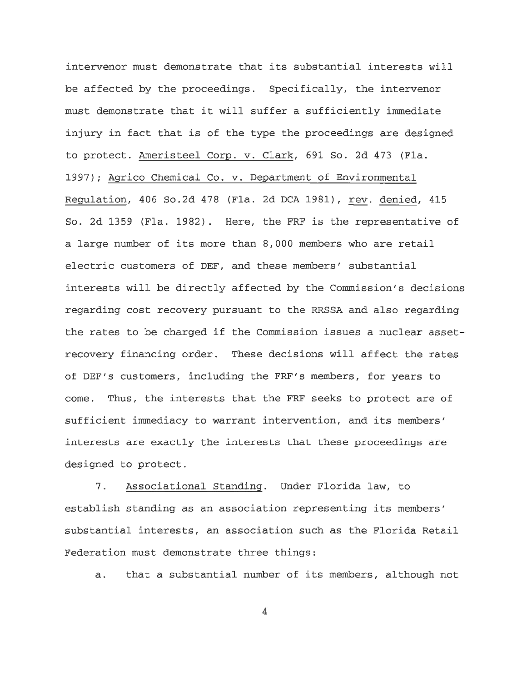intervenor must demonstrate that its substantial interests will be affected by the proceedings. Specifically, the intervenor must demonstrate that it will suffer a sufficiently immediate injury in fact that is of the type the proceedings are designed to protect. Ameristeel Corp. v. Clark, 691 So. 2d 473 (Fla. 1997); Agrico Chemical Co. v. Department of Environmental Regulation, 406 So.2d 478 (Fla. 2d DCA 1981), rev. denied, 415 So. 2d 1359 (Fla. 1982). Here, the FRF is the representative of a large number of its more than 8,000 members who are retail electric customers of DEF, and these members' substantial interests will be directly affected by the Commission's decisions regarding cost recovery pursuant to the RRSSA and also regarding the rates to be charged if the Commission issues a nuclear assetrecovery financing order. These decisions will affect the rates of DEF's customers, including the FRF's members, for years to come. Thus, the interests that the FRF seeks to protect are of sufficient immediacy to warrant intervention, and its members' interests are exactly the interests that these proceedings are designed to protect.

7. Associational Standing. Under Florida law, to establish standing as an association representing its members' substantial interests, an association such as the Florida Retail Federation must demonstrate three things:

a. that a substantial number of its members, although not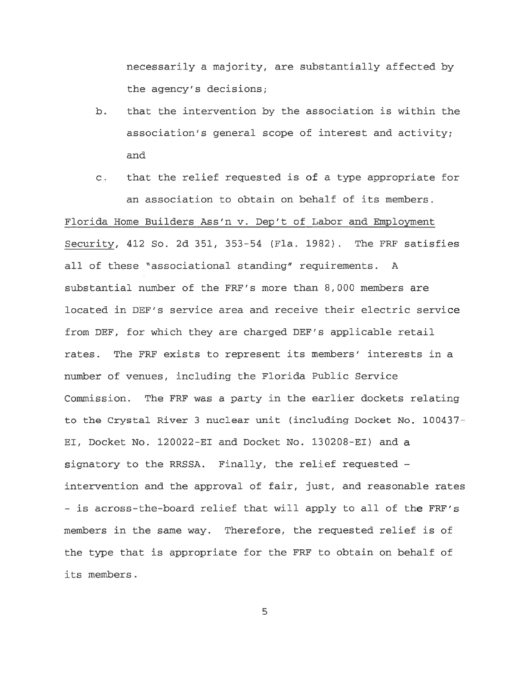necessarily a majority, are substantially affected by the agency's decisions;

- b. that the intervention by the association is within the association's general scope of interest and activity; and
- c. that the relief requested is of a type appropriate for an association to obtain on behalf of its members.

Florida Home Builders Ass'n v. Dep't of Labor and Employment Security, 412 So. 2d 351, 353-54 (Fla. 1982). The FRF satisfies all of these " associational standing" requirements. A substantial number of the FRF's more than 8,000 members are located in DEF's service area and receive their electric service from DEF, for which they are charged DEF's applicable retail rates. The FRF exists to represent its members' interests in a number of venues, including the Florida Public Service Commission. The FRF was a party in the earlier dockets relating to the Crystal River 3 nuclear unit (including Docket No. 100437-EI, Docket No. 120022-EI and Docket No. 130208-EI) and a signatory to the RRSSA. Finally, the relief requested intervention and the approval of fair, just, and reasonable rates - is across-the-board relief that will apply to all of the FRF's members in the same way. Therefore, the requested relief is of the type that is appropriate for the FRF to obtain on behalf of its members.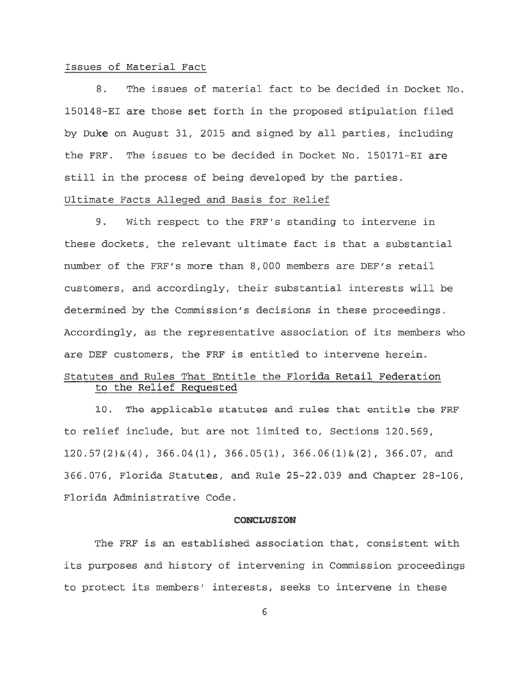#### Issues of Material Fact

8. The issues of material fact to be decided in Docket No. 150148-EI are those set forth in the proposed stipulation filed by Duke on August 31, 2015 and signed by all parties, including the FRF. The issues to be decided in Docket No. 150171-EI are still in the process of being developed by the parties. Ultimate Facts Alleged and Basis for Relief

9. With respect to the FRF's standing to intervene in these dockets, the relevant ultimate fact is that a substantial number of the FRF's more than 8,000 members are DEF's retail customers, and accordingly, their substantial interests will be determined by the Commission's decisions in these proceedings. Accordingly, as the representative association of its members who are DEF customers, the FRF is entitled to intervene herein.

# Statutes and Rules That Entitle the Florida Retail Federation to the Relief Requested

10. The applicable statutes and rules that entitle the FRF to relief include, but are not limited to, Sections 120.569, 120.57(2)&(4), 366.04(1), 366.05(1), 366.06(1)&(2), 366.07, and 366.076, Florida Statutes, and Rule 25-22 .039 and Chapter 28-106, Florida Administrative Code.

#### **CONCLUSION**

The FRF is an established association that, consistent with its purposes and history of intervening in Commission proceedings to protect its members' interests, seeks to intervene in these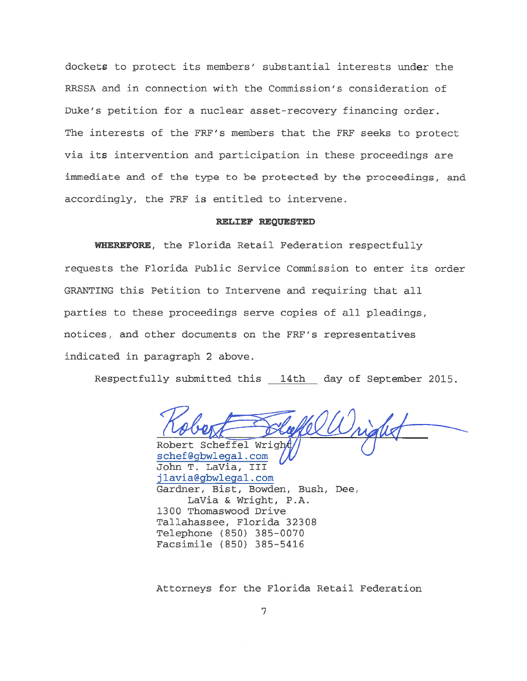dockets to protect its members' substantial interests under the RRSSA and in connection with the Commission's consideration of Duke's petition for a nuclear asset-recovery financing order. The interests of the FRF's members that the FRF seeks to protect via its intervention and participation in these proceedings are immediate and of the type to be protected by the proceedings, and accordingly, the FRF is entitled to intervene.

#### **RELIEF REQUESTED**

**WHEREFORE,** the Florida Retail Federation respectfully requests the Florida Public Service Commission to enter its order GRANTING this Petition to Intervene and requiring that all parties to these proceedings serve copies of all pleadings, notices , and other documents on the FRF's representatives indicated in paragraph 2 above.

Respectfully submitted this \_ 14th \_ day of September 2015.

Robert Scheffel Wrig

schef@gbwlegal.com John T. LaVia, III jlavia@gbwlegal.com Gardner, Bist, Bowden, Bush, Dee, LaVia & Wright, P.A. 1300 Thomaswood Drive Tallahassee, Florida 32308 Telephone (850 ) 385-0070 Facsimile (850 ) 385-5416

Attorneys for the Florida Retail Federation